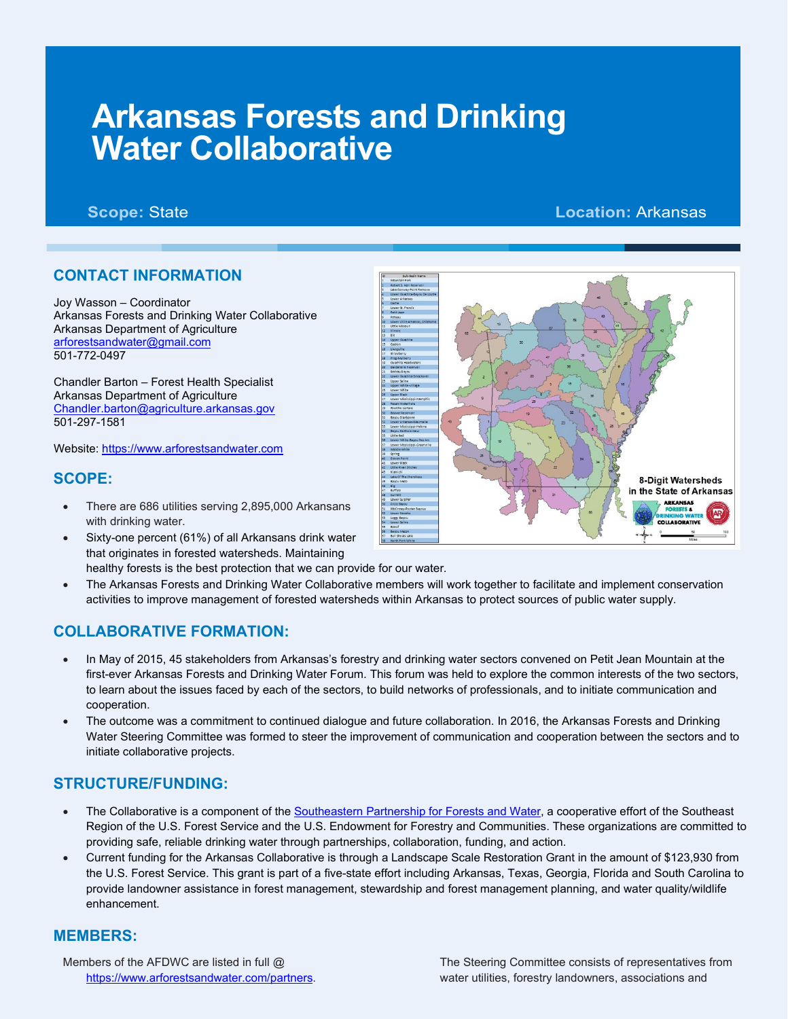# **Arkansas Forests and Drinking Water Collaborative**

# **Scope:** State **Location:** Arkansas

## **CONTACT INFORMATION**

Joy Wasson – Coordinator Arkansas Forests and Drinking Water Collaborative Arkansas Department of Agriculture [arforestsandwater@gmail.com](mailto:arforestsandwater@gmail.com) 501-772-0497

Chandler Barton – Forest Health Specialist Arkansas Department of Agriculture [Chandler.barton@agriculture.arkansas.gov](mailto:Chandler.barton@agriculture.arkansas.gov) 501-297-1581

Website: [https://www.arforestsandwater.com](https://www.arforestsandwater.com/)

#### **SCOPE:**

- There are 686 utilities serving 2,895,000 Arkansans with drinking water.
- Sixty-one percent (61%) of all Arkansans drink water that originates in forested watersheds. Maintaining healthy forests is the best protection that we can provide for our water.
- The Arkansas Forests and Drinking Water Collaborative members will work together to facilitate and implement conservation activities to improve management of forested watersheds within Arkansas to protect sources of public water supply.

### **COLLABORATIVE FORMATION:**

- In May of 2015, 45 stakeholders from Arkansas's forestry and drinking water sectors convened on Petit Jean Mountain at the first-ever Arkansas Forests and Drinking Water Forum. This forum was held to explore the common interests of the two sectors, to learn about the issues faced by each of the sectors, to build networks of professionals, and to initiate communication and cooperation.
- The outcome was a commitment to continued dialogue and future collaboration. In 2016, the Arkansas Forests and Drinking Water Steering Committee was formed to steer the improvement of communication and cooperation between the sectors and to initiate collaborative projects.

### **STRUCTURE/FUNDING:**

- The Collaborative is a component of th[e Southeastern Partnership for Forests and Water,](https://southeasternpartnership.org/) a cooperative effort of the Southeast Region of the U.S. Forest Service and the U.S. Endowment for Forestry and Communities. These organizations are committed to providing safe, reliable drinking water through partnerships, collaboration, funding, and action.
- Current funding for the Arkansas Collaborative is through a Landscape Scale Restoration Grant in the amount of \$123,930 from the U.S. Forest Service. This grant is part of a five-state effort including Arkansas, Texas, Georgia, Florida and South Carolina to provide landowner assistance in forest management, stewardship and forest management planning, and water quality/wildlife enhancement.

#### **MEMBERS:**

Members of the AFDWC are listed in full @ [https://www.arforestsandwater.com/partners.](https://www.arforestsandwater.com/partners)